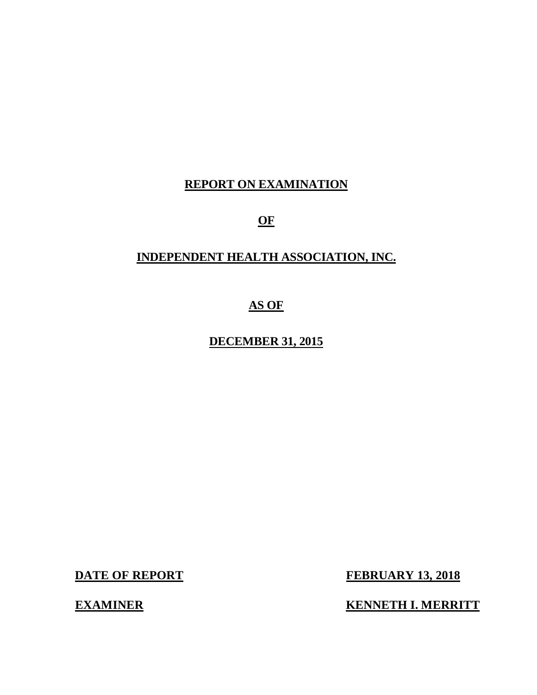## **REPORT ON EXAMINATION**

**OF** 

## **INDEPENDENT HEALTH ASSOCIATION, INC.**

## **AS OF**

## **DECEMBER 31, 2015**

**DATE OF REPORT** 

**EXAMINER** 

**FEBRUARY 13, 2018** 

**KENNETH I. MERRITT**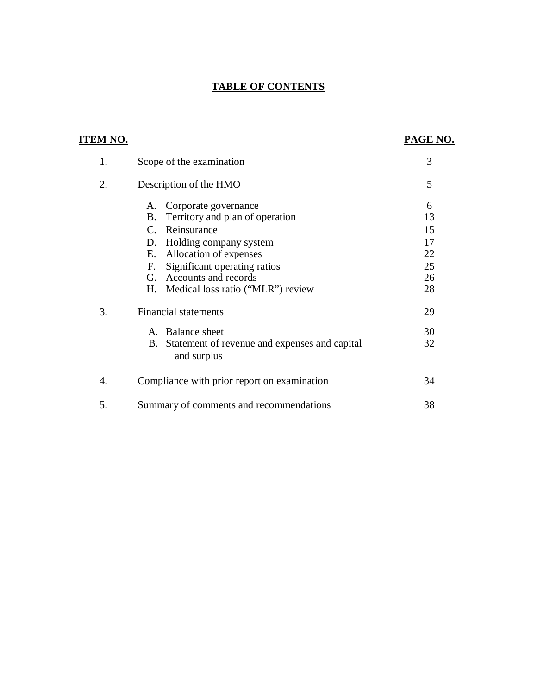## **TABLE OF CONTENTS**

| <b>ITEM NO.</b> |                                                                                                                                                                                                                                                                                         | PAGE NO.                                    |
|-----------------|-----------------------------------------------------------------------------------------------------------------------------------------------------------------------------------------------------------------------------------------------------------------------------------------|---------------------------------------------|
| 1.              | Scope of the examination                                                                                                                                                                                                                                                                | 3                                           |
| 2.              | Description of the HMO                                                                                                                                                                                                                                                                  | 5                                           |
|                 | Corporate governance<br>A.<br>Territory and plan of operation<br><b>B.</b><br>Reinsurance<br>$C_{\cdot}$<br>Holding company system<br>D.<br>Allocation of expenses<br>E.<br>Significant operating ratios<br>F.<br>Accounts and records<br>G.<br>Η.<br>Medical loss ratio ("MLR") review | 6<br>13<br>15<br>17<br>22<br>25<br>26<br>28 |
| 3.              | <b>Financial statements</b><br>A. Balance sheet<br>B.<br>Statement of revenue and expenses and capital<br>and surplus                                                                                                                                                                   | 29<br>30<br>32                              |
| 4.              | Compliance with prior report on examination                                                                                                                                                                                                                                             | 34                                          |
| 5.              | Summary of comments and recommendations                                                                                                                                                                                                                                                 | 38                                          |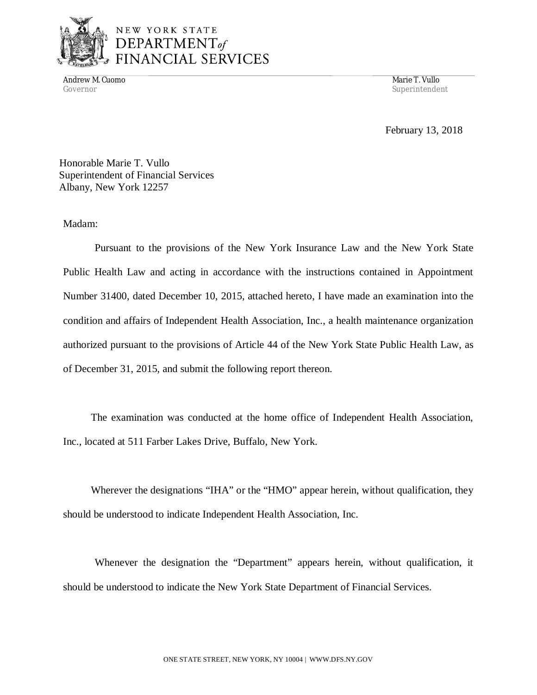

Andrew M. Cuomo Marie T. Vullo (1999) and the Marie T. Vullo (1999) and the Marie T. Vullo (1999) and the Marie T. Vullo Governor Superintendent Superintendent Superintendent Superintendent Superintendent Superintendent Superintendent Superintendent Superintendent Superintendent Superintendent Superintendent Superintendent Superintendent Sup

February 13, 2018

 Honorable Marie T. Vullo Superintendent of Financial Services Albany, New York 12257

## Madam:

 Madam: Pursuant to the provisions of the New York Insurance Law and the New York State Public Health Law and acting in accordance with the instructions contained in Appointment Number 31400, dated December 10, 2015, attached hereto, I have made an examination into the condition and affairs of Independent Health Association, Inc., a health maintenance organization authorized pursuant to the provisions of Article 44 of the New York State Public Health Law, as of December 31, 2015, and submit the following report thereon.

 The examination was conducted at the home office of Independent Health Association, Inc., located at 511 Farber Lakes Drive, Buffalo, New York.

 Wherever the designations "IHA" or the "HMO" appear herein, without qualification, they should be understood to indicate Independent Health Association, Inc.

 Whenever the designation the "Department" appears herein, without qualification, it should be understood to indicate the New York State Department of Financial Services.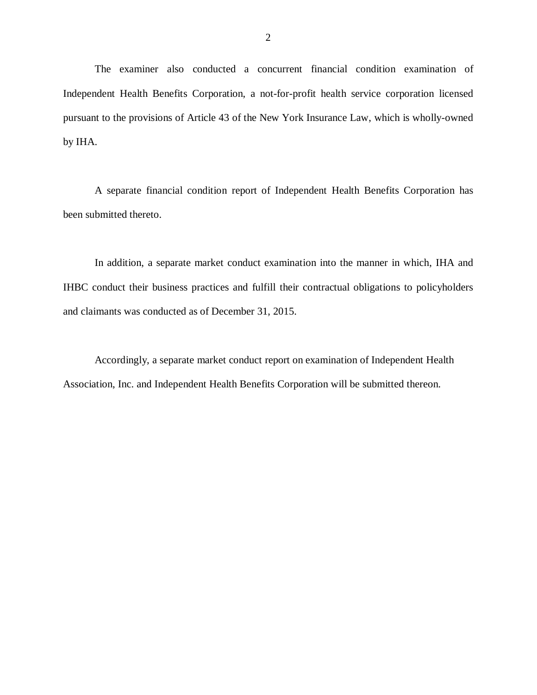Independent Health Benefits Corporation, a not-for-profit health service corporation licensed pursuant to the provisions of Article 43 of the New York Insurance Law, which is wholly-owned by IHA. The examiner also conducted a concurrent financial condition examination of

A separate financial condition report of Independent Health Benefits Corporation has been submitted thereto.

 In addition, a separate market conduct examination into the manner in which, IHA and IHBC conduct their business practices and fulfill their contractual obligations to policyholders and claimants was conducted as of December 31, 2015.

 Accordingly, a separate market conduct report on examination of Independent Health Association, Inc. and Independent Health Benefits Corporation will be submitted thereon.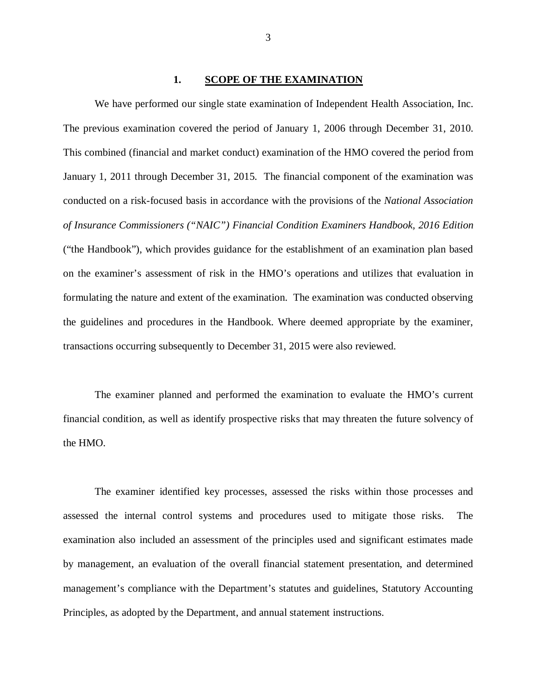#### **1. SCOPE OF THE EXAMINATION**

 The previous examination covered the period of January 1, 2006 through December 31, 2010. This combined (financial and market conduct) examination of the HMO covered the period from January 1, 2011 through December 31, 2015. The financial component of the examination was conducted on a risk-focused basis in accordance with the provisions of the *National Association of Insurance Commissioners ("NAIC") Financial Condition Examiners Handbook, 2016 Edition*  ("the Handbook"), which provides guidance for the establishment of an examination plan based on the examiner's assessment of risk in the HMO's operations and utilizes that evaluation in formulating the nature and extent of the examination. The examination was conducted observing the guidelines and procedures in the Handbook. Where deemed appropriate by the examiner, transactions occurring subsequently to December 31, 2015 were also reviewed. We have performed our single state examination of Independent Health Association, Inc.

 financial condition, as well as identify prospective risks that may threaten the future solvency of the HMO. The examiner planned and performed the examination to evaluate the HMO's current

 assessed the internal control systems and procedures used to mitigate those risks. The examination also included an assessment of the principles used and significant estimates made by management, an evaluation of the overall financial statement presentation, and determined management's compliance with the Department's statutes and guidelines, Statutory Accounting Principles, as adopted by the Department, and annual statement instructions. The examiner identified key processes, assessed the risks within those processes and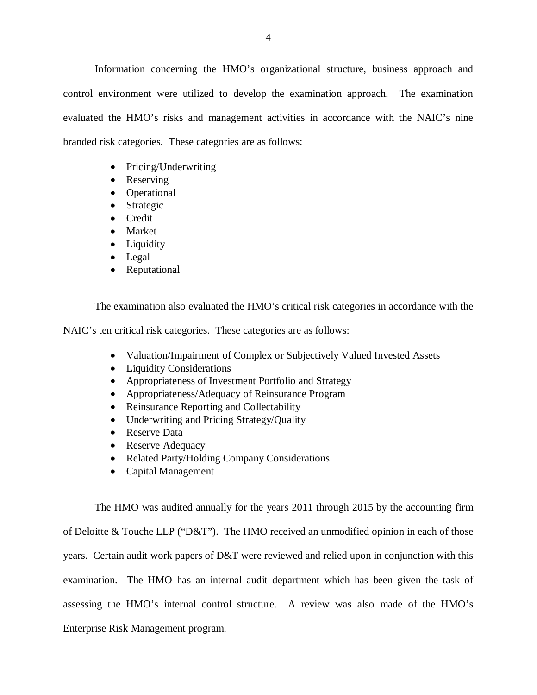Information concerning the HMO's organizational structure, business approach and control environment were utilized to develop the examination approach. The examination evaluated the HMO's risks and management activities in accordance with the NAIC's nine branded risk categories. These categories are as follows:

- Pricing/Underwriting
- Reserving
- Operational
- Strategic
- Credit
- Market
- Liquidity
- Legal
- Reputational

The examination also evaluated the HMO's critical risk categories in accordance with the

NAIC's ten critical risk categories. These categories are as follows:

- Valuation/Impairment of Complex or Subjectively Valued Invested Assets
- Liquidity Considerations
- Appropriateness of Investment Portfolio and Strategy
- Appropriateness/Adequacy of Reinsurance Program
- Reinsurance Reporting and Collectability
- Underwriting and Pricing Strategy/Quality
- Reserve Data
- Reserve Adequacy
- Related Party/Holding Company Considerations
- Capital Management

 The HMO was audited annually for the years 2011 through 2015 by the accounting firm of Deloitte & Touche LLP ("D&T"). The HMO received an unmodified opinion in each of those years. Certain audit work papers of D&T were reviewed and relied upon in conjunction with this examination. The HMO has an internal audit department which has been given the task of assessing the HMO's internal control structure. A review was also made of the HMO's Enterprise Risk Management program.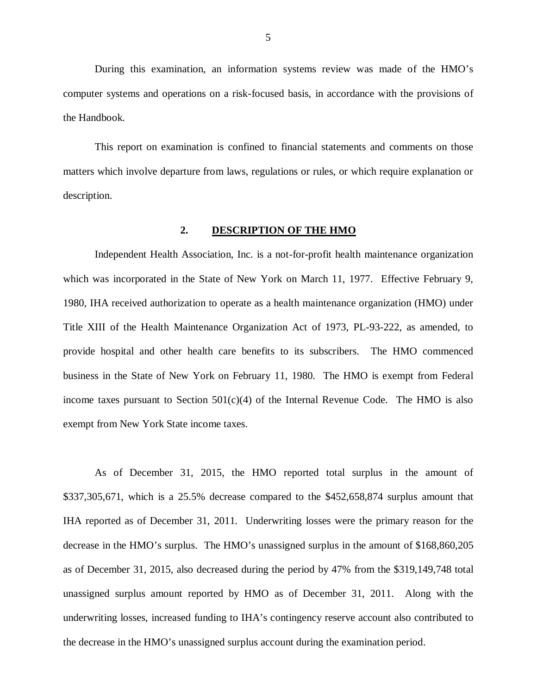<span id="page-6-0"></span> During this examination, an information systems review was made of the HMO's computer systems and operations on a risk-focused basis, in accordance with the provisions of the Handbook.

 matters which involve departure from laws, regulations or rules, or which require explanation or This report on examination is confined to financial statements and comments on those description.

#### **2. DESCRIPTION OF THE HMO**

 Independent Health Association, Inc. is a not-for-profit health maintenance organization which was incorporated in the State of New York on March 11, 1977. Effective February 9, 1980, IHA received authorization to operate as a health maintenance organization (HMO) under Title XIII of the Health Maintenance Organization Act of 1973, PL-93-222, as amended, to provide hospital and other health care benefits to its subscribers. The HMO commenced business in the State of New York on February 11, 1980. The HMO is exempt from Federal income taxes pursuant to Section  $501(c)(4)$  of the Internal Revenue Code. The HMO is also exempt from New York State income taxes.

 As of December 31, 2015, the HMO reported total surplus in the amount of \$337,305,671, which is a 25.5% decrease compared to the \$452,658,874 surplus amount that IHA reported as of December 31, 2011. Underwriting losses were the primary reason for the decrease in the HMO's surplus. The HMO's unassigned surplus in the amount of \$168,860,205 as of December 31, 2015, also decreased during the period by 47% from the \$319,149,748 total unassigned surplus amount reported by HMO as of December 31, 2011. Along with the underwriting losses, increased funding to IHA's contingency reserve account also contributed to the decrease in the HMO's unassigned surplus account during the examination period.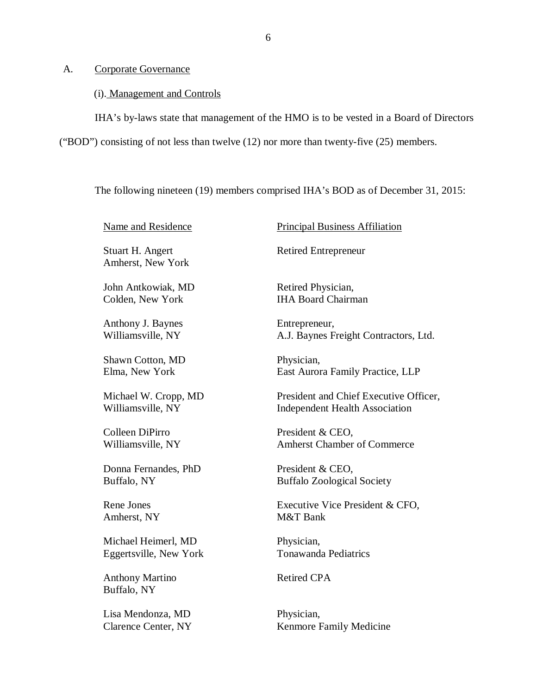#### <span id="page-7-0"></span>A. Corporate Governance

#### (i). Management and Controls

IHA's by-laws state that management of the HMO is to be vested in a Board of Directors

("BOD") consisting of not less than twelve (12) nor more than twenty-five (25) members.

The following nineteen (19) members comprised IHA's BOD as of December 31, 2015:

Name and Residence

 Stuart H. Angert Amherst, New York

 John Antkowiak, MD Colden, New York

 Anthony J. Baynes Williamsville, NY

 Shawn Cotton, MD Elma, New York

 Michael W. Cropp, MD Williamsville, NY

 Colleen DiPirro Williamsville, NY

 Donna Fernandes, PhD Buffalo, NY

 Rene Jones Amherst, NY

 Michael Heimerl, MD Eggertsville, New York

 Anthony Martino Buffalo, NY

 Lisa Mendonza, MD Clarence Center, NY Principal Business Affiliation

Retired Entrepreneur

 Retired Physician, IHA Board Chairman

Entrepreneur, A.J. Baynes Freight Contractors, Ltd.

Physician, East Aurora Family Practice, LLP

 President and Chief Executive Officer, Independent Health Association

 President & CEO, Amherst Chamber of Commerce

 President & CEO, Buffalo Zoological Society

 Executive Vice President & CFO, M&T Bank

Physician, Tonawanda Pediatrics

Retired CPA

Physician, Kenmore Family Medicine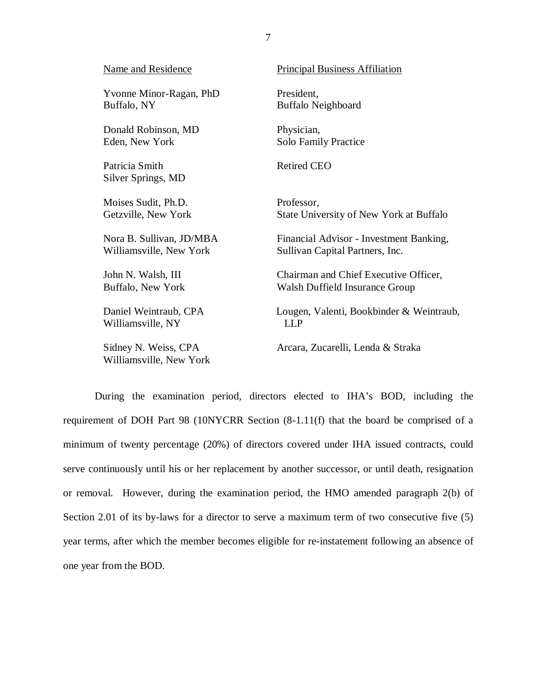| <b>Name and Residence</b>            | <b>Principal Business Affiliation</b>    |
|--------------------------------------|------------------------------------------|
| Yvonne Minor-Ragan, PhD              | President,                               |
| Buffalo, NY                          | Buffalo Neighboard                       |
| Donald Robinson, MD                  | Physician,                               |
| Eden, New York                       | <b>Solo Family Practice</b>              |
| Patricia Smith<br>Silver Springs, MD | <b>Retired CEO</b>                       |
| Moises Sudit, Ph.D.                  | Professor,                               |
| Getzville, New York                  | State University of New York at Buffalo  |
| Nora B. Sullivan, JD/MBA             | Financial Advisor - Investment Banking,  |
| Williamsville, New York              | Sullivan Capital Partners, Inc.          |
| John N. Walsh, III                   | Chairman and Chief Executive Officer,    |
| Buffalo, New York                    | Walsh Duffield Insurance Group           |
| Daniel Weintraub, CPA                | Lougen, Valenti, Bookbinder & Weintraub, |
| Williamsville, NY                    | <b>LLP</b>                               |
| Sidney N. Weiss, CPA                 | Arcara, Zucarelli, Lenda & Straka        |

 During the examination period, directors elected to IHA's BOD, including the requirement of DOH Part 98 (10NYCRR Section (8-1.11(f) that the board be comprised of a minimum of twenty percentage (20%) of directors covered under IHA issued contracts, could serve continuously until his or her replacement by another successor, or until death, resignation or removal. However, during the examination period, the HMO amended paragraph 2(b) of Section 2.01 of its by-laws for a director to serve a maximum term of two consecutive five (5) year terms, after which the member becomes eligible for re-instatement following an absence of one year from the BOD.

Williamsville, New York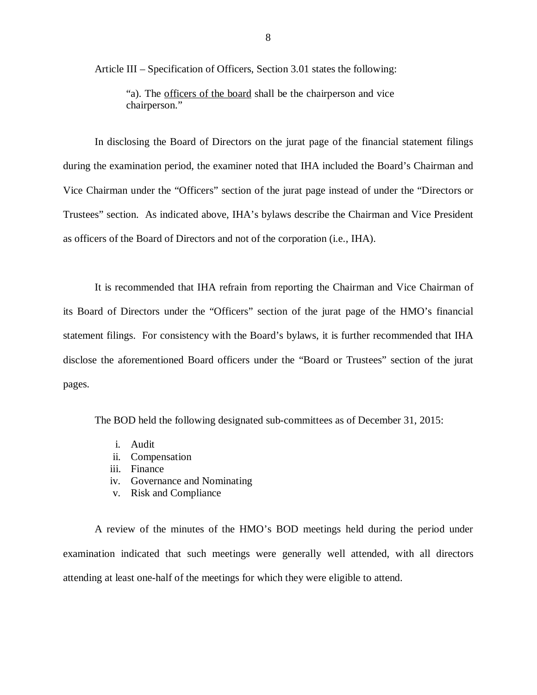Article III – Specification of Officers, Section 3.01 states the following:

 "a). The officers of the board shall be the chairperson and vice chairperson."

 during the examination period, the examiner noted that IHA included the Board's Chairman and Vice Chairman under the "Officers" section of the jurat page instead of under the "Directors or Trustees" section. As indicated above, IHA's bylaws describe the Chairman and Vice President as officers of the Board of Directors and not of the corporation (i.e., IHA). In disclosing the Board of Directors on the jurat page of the financial statement filings

 its Board of Directors under the "Officers" section of the jurat page of the HMO's financial statement filings. For consistency with the Board's bylaws, it is further recommended that IHA disclose the aforementioned Board officers under the "Board or Trustees" section of the jurat pages. It is recommended that IHA refrain from reporting the Chairman and Vice Chairman of

The BOD held the following designated sub-committees as of December 31, 2015:

- i. Audit
- ii. Compensation
- iii. Finance
- iv. Governance and Nominating
- v. Risk and Compliance

 examination indicated that such meetings were generally well attended, with all directors attending at least one-half of the meetings for which they were eligible to attend. A review of the minutes of the HMO's BOD meetings held during the period under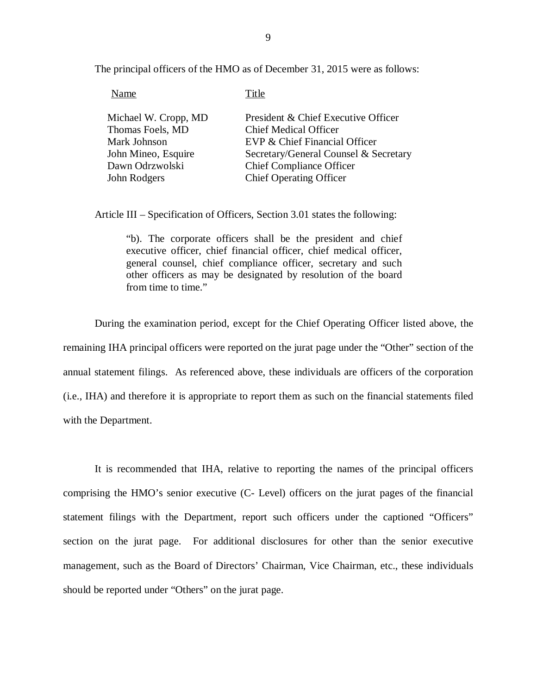The principal officers of the HMO as of December 31, 2015 were as follows:

| Name                 | Title                                 |
|----------------------|---------------------------------------|
| Michael W. Cropp, MD | President & Chief Executive Officer   |
| Thomas Foels, MD     | <b>Chief Medical Officer</b>          |
| Mark Johnson         | EVP & Chief Financial Officer         |
| John Mineo, Esquire  | Secretary/General Counsel & Secretary |
| Dawn Odrzwolski      | <b>Chief Compliance Officer</b>       |
| John Rodgers         | <b>Chief Operating Officer</b>        |

Article III – Specification of Officers, Section 3.01 states the following:

 "b). The corporate officers shall be the president and chief executive officer, chief financial officer, chief medical officer, general counsel, chief compliance officer, secretary and such other officers as may be designated by resolution of the board from time to time."

 During the examination period, except for the Chief Operating Officer listed above, the remaining IHA principal officers were reported on the jurat page under the "Other" section of the annual statement filings. As referenced above, these individuals are officers of the corporation (i.e., IHA) and therefore it is appropriate to report them as such on the financial statements filed with the Department.

 comprising the HMO's senior executive (C- Level) officers on the jurat pages of the financial statement filings with the Department, report such officers under the captioned "Officers" section on the jurat page. For additional disclosures for other than the senior executive management, such as the Board of Directors' Chairman, Vice Chairman, etc., these individuals should be reported under "Others" on the jurat page. It is recommended that IHA, relative to reporting the names of the principal officers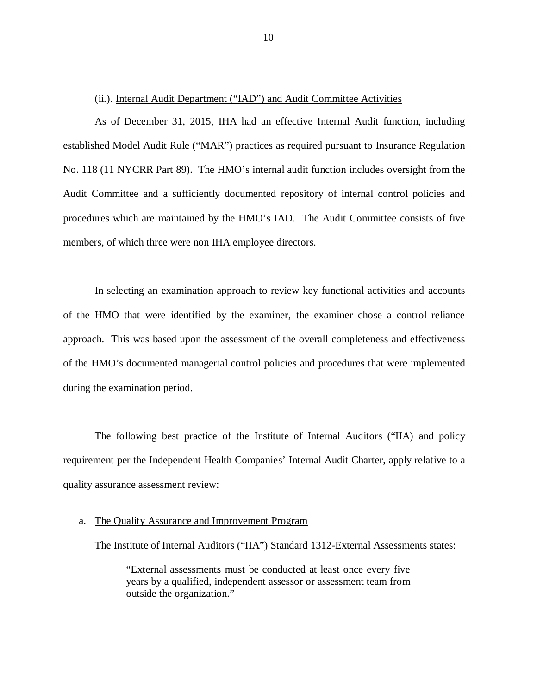#### (ii.). Internal Audit Department ("IAD") and Audit Committee Activities

 established Model Audit Rule ("MAR") practices as required pursuant to Insurance Regulation No. 118 (11 NYCRR Part 89). The HMO's internal audit function includes oversight from the Audit Committee and a sufficiently documented repository of internal control policies and procedures which are maintained by the HMO's IAD. The Audit Committee consists of five members, of which three were non IHA employee directors. As of December 31, 2015, IHA had an effective Internal Audit function, including

 of the HMO that were identified by the examiner, the examiner chose a control reliance approach. This was based upon the assessment of the overall completeness and effectiveness of the HMO's documented managerial control policies and procedures that were implemented during the examination period. In selecting an examination approach to review key functional activities and accounts

 requirement per the Independent Health Companies' Internal Audit Charter, apply relative to a quality assurance assessment review: The following best practice of the Institute of Internal Auditors ("IIA) and policy

#### a. The Quality Assurance and Improvement Program

The Institute of Internal Auditors ("IIA") Standard 1312-External Assessments states:

 "External assessments must be conducted at least once every five years by a qualified, independent assessor or assessment team from outside the organization."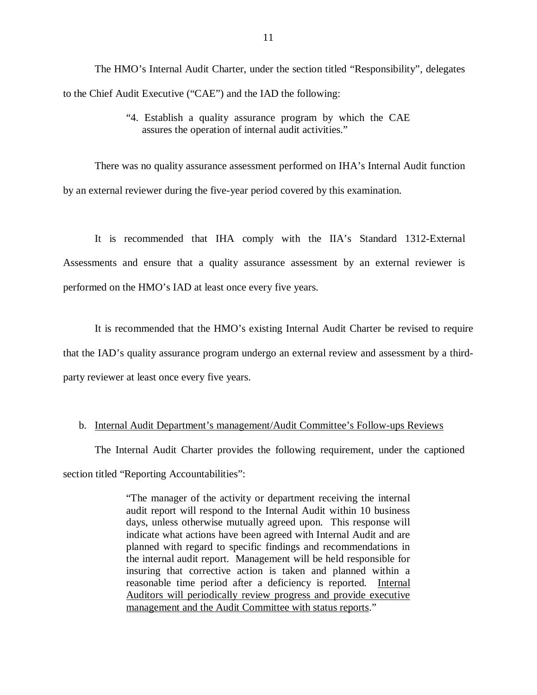to the Chief Audit Executive ("CAE") and the IAD the following: The HMO's Internal Audit Charter, under the section titled "Responsibility", delegates

> "4. Establish a quality assurance program by which the CAE assures the operation of internal audit activities."

 There was no quality assurance assessment performed on IHA's Internal Audit function by an external reviewer during the five-year period covered by this examination.

 Assessments and ensure that a quality assurance assessment by an external reviewer is performed on the HMO's IAD at least once every five years. It is recommended that IHA comply with the IIA's Standard 1312-External

 that the IAD's quality assurance program undergo an external review and assessment by a third- party reviewer at least once every five years. It is recommended that the HMO's existing Internal Audit Charter be revised to require

#### b. Internal Audit Department's management/Audit Committee's Follow-ups Reviews

The Internal Audit Charter provides the following requirement, under the captioned section titled "Reporting Accountabilities":

> "The manager of the activity or department receiving the internal audit report will respond to the Internal Audit within 10 business days, unless otherwise mutually agreed upon. This response will indicate what actions have been agreed with Internal Audit and are planned with regard to specific findings and recommendations in the internal audit report. Management will be held responsible for insuring that corrective action is taken and planned within a reasonable time period after a deficiency is reported. Internal Auditors will periodically review progress and provide executive management and the Audit Committee with status reports."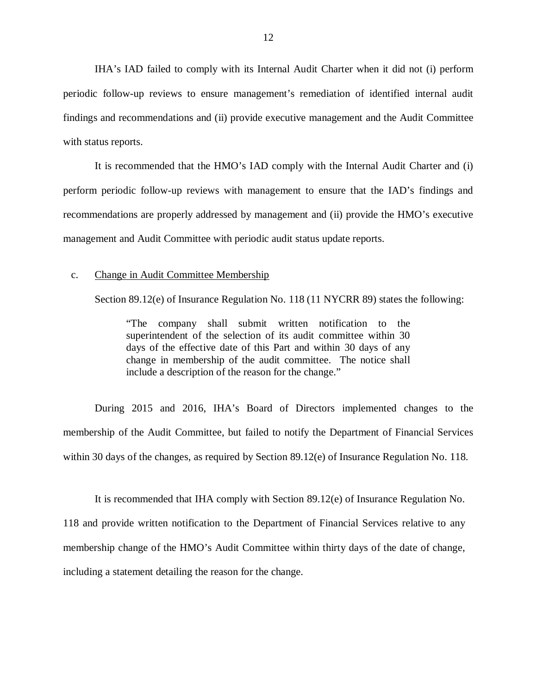IHA's IAD failed to comply with its Internal Audit Charter when it did not (i) perform periodic follow-up reviews to ensure management's remediation of identified internal audit findings and recommendations and (ii) provide executive management and the Audit Committee with status reports.

 perform periodic follow-up reviews with management to ensure that the IAD's findings and recommendations are properly addressed by management and (ii) provide the HMO's executive management and Audit Committee with periodic audit status update reports. It is recommended that the HMO's IAD comply with the Internal Audit Charter and (i)

#### c. Change in Audit Committee Membership

Section 89.12(e) of Insurance Regulation No. 118 (11 NYCRR 89) states the following:

 "The company shall submit written notification to the superintendent of the selection of its audit committee within 30 days of the effective date of this Part and within 30 days of any change in membership of the audit committee. The notice shall include a description of the reason for the change."

 During 2015 and 2016, IHA's Board of Directors implemented changes to the membership of the Audit Committee, but failed to notify the Department of Financial Services within 30 days of the changes, as required by Section 89.12(e) of Insurance Regulation No. 118.

 118 and provide written notification to the Department of Financial Services relative to any membership change of the HMO's Audit Committee within thirty days of the date of change, including a statement detailing the reason for the change. It is recommended that IHA comply with Section 89.12(e) of Insurance Regulation No.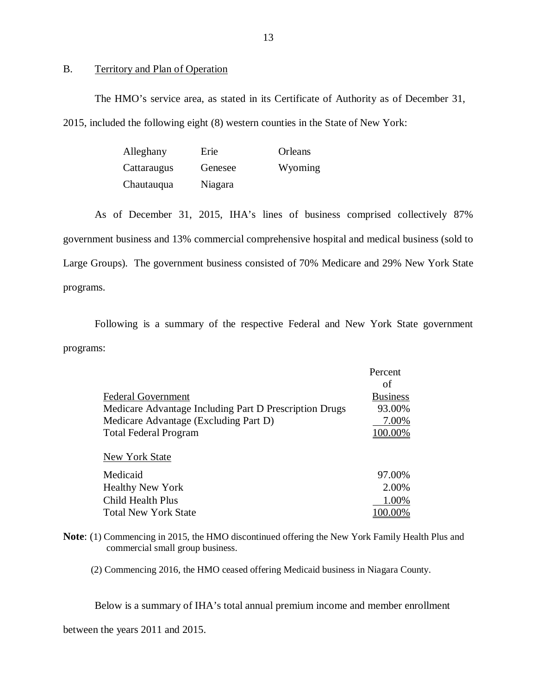#### B. Territory and Plan of Operation

 The HMO's service area, as stated in its Certificate of Authority as of December 31, 2015, included the following eight (8) western counties in the State of New York:

| Alleghany   | Erie    | Orleans |
|-------------|---------|---------|
| Cattaraugus | Genesee | Wyoming |
| Chautauqua  | Niagara |         |

 government business and 13% commercial comprehensive hospital and medical business (sold to Large Groups). The government business consisted of 70% Medicare and 29% New York State programs. programs. Following is a summary of the respective Federal and New York State government Chautauqua Niagara<br>
As of December 31, 2015, IHA's lines of business comprised collectively 87%

programs:

|                                                        | Percent         |
|--------------------------------------------------------|-----------------|
|                                                        | οf              |
| <b>Federal Government</b>                              | <b>Business</b> |
| Medicare Advantage Including Part D Prescription Drugs | 93.00%          |
| Medicare Advantage (Excluding Part D)                  | 7.00%           |
| <b>Total Federal Program</b>                           | 100.00%         |
| New York State                                         |                 |
|                                                        |                 |
| Medicaid                                               | 97.00%          |
| <b>Healthy New York</b>                                | 2.00%           |
| Child Health Plus                                      | 1.00%           |
| <b>Total New York State</b>                            |                 |

 **Note**: (1) Commencing in 2015, the HMO discontinued offering the New York Family Health Plus and commercial small group business.

(2) Commencing 2016, the HMO ceased offering Medicaid business in Niagara County.

Below is a summary of IHA's total annual premium income and member enrollment

between the years 2011 and 2015.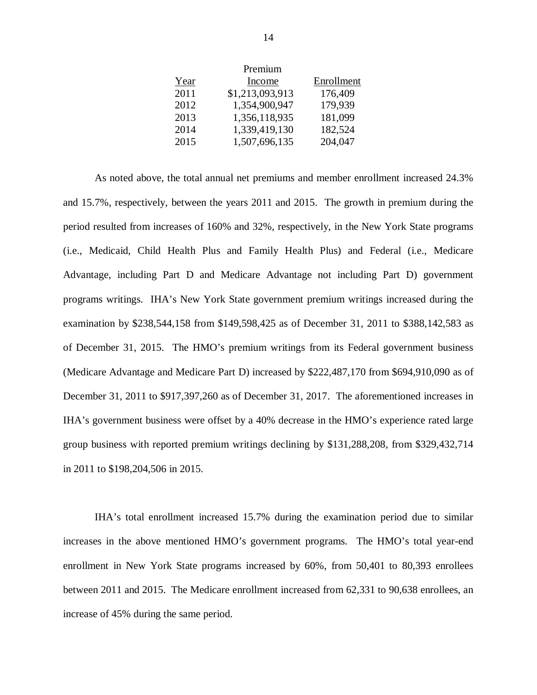|      | Premium         |            |
|------|-----------------|------------|
| Year | Income          | Enrollment |
| 2011 | \$1,213,093,913 | 176,409    |
| 2012 | 1,354,900,947   | 179,939    |
| 2013 | 1,356,118,935   | 181,099    |
| 2014 | 1,339,419,130   | 182,524    |
| 2015 | 1,507,696,135   | 204,047    |

 and 15.7%, respectively, between the years 2011 and 2015. The growth in premium during the period resulted from increases of 160% and 32%, respectively, in the New York State programs (i.e., Medicaid, Child Health Plus and Family Health Plus) and Federal (i.e., Medicare Advantage, including Part D and Medicare Advantage not including Part D) government programs writings. IHA's New York State government premium writings increased during the examination by \$238,544,158 from \$149,598,425 as of December 31, 2011 to \$388,142,583 as of December 31, 2015. The HMO's premium writings from its Federal government business (Medicare Advantage and Medicare Part D) increased by \$222,487,170 from \$694,910,090 as of December 31, 2011 to \$917,397,260 as of December 31, 2017. The aforementioned increases in IHA's government business were offset by a 40% decrease in the HMO's experience rated large group business with reported premium writings declining by \$131,288,208, from \$329,432,714 in 2011 to \$198,204,506 in 2015. As noted above, the total annual net premiums and member enrollment increased 24.3%

 IHA's total enrollment increased 15.7% during the examination period due to similar increases in the above mentioned HMO's government programs. The HMO's total year-end enrollment in New York State programs increased by 60%, from 50,401 to 80,393 enrollees between 2011 and 2015. The Medicare enrollment increased from 62,331 to 90,638 enrollees, an increase of 45% during the same period.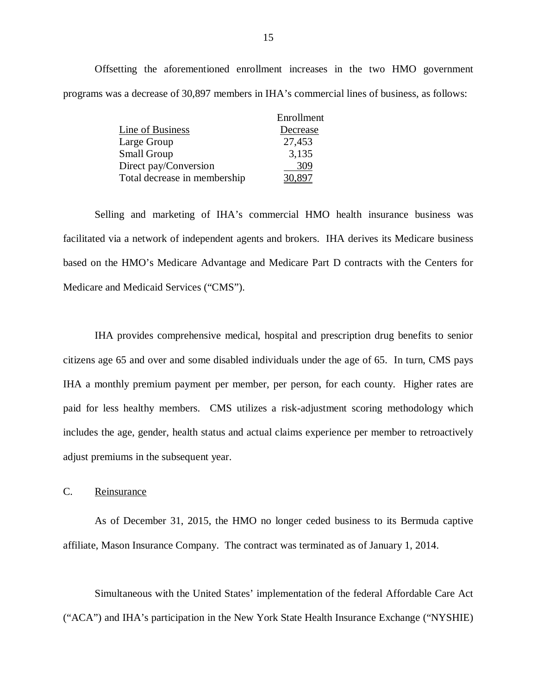<span id="page-16-0"></span> Offsetting the aforementioned enrollment increases in the two HMO government programs was a decrease of 30,897 members in IHA's commercial lines of business, as follows:

|                              | Enrollment |
|------------------------------|------------|
| Line of Business             | Decrease   |
| Large Group                  | 27,453     |
| <b>Small Group</b>           | 3,135      |
| Direct pay/Conversion        | 309        |
| Total decrease in membership |            |

 Selling and marketing of IHA's commercial HMO health insurance business was facilitated via a network of independent agents and brokers. IHA derives its Medicare business based on the HMO's Medicare Advantage and Medicare Part D contracts with the Centers for Medicare and Medicaid Services ("CMS").

 IHA provides comprehensive medical, hospital and prescription drug benefits to senior citizens age 65 and over and some disabled individuals under the age of 65. In turn, CMS pays IHA a monthly premium payment per member, per person, for each county. Higher rates are paid for less healthy members. CMS utilizes a risk-adjustment scoring methodology which includes the age, gender, health status and actual claims experience per member to retroactively adjust premiums in the subsequent year.

#### C. Reinsurance

 affiliate, Mason Insurance Company. The contract was terminated as of January 1, 2014. As of December 31, 2015, the HMO no longer ceded business to its Bermuda captive

 Simultaneous with the United States' implementation of the federal Affordable Care Act ("ACA") and IHA's participation in the New York State Health Insurance Exchange ("NYSHIE)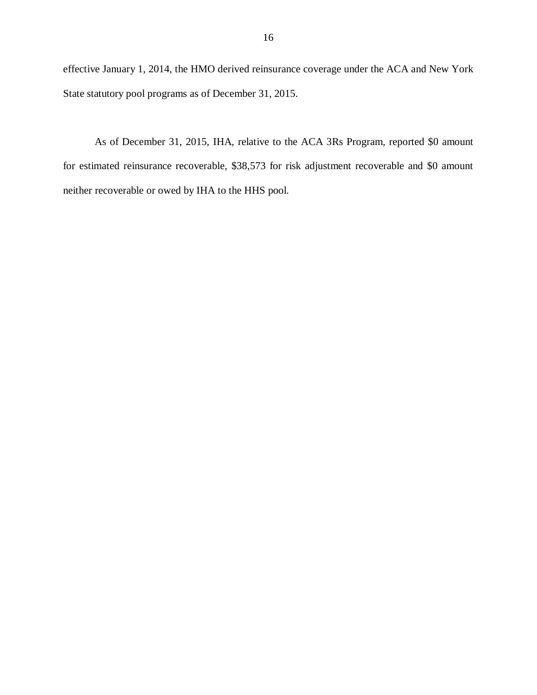effective January 1, 2014, the HMO derived reinsurance coverage under the ACA and New York State statutory pool programs as of December 31, 2015.

 for estimated reinsurance recoverable, \$38,573 for risk adjustment recoverable and \$0 amount neither recoverable or owed by IHA to the HHS pool. As of December 31, 2015, IHA, relative to the ACA 3Rs Program, reported \$0 amount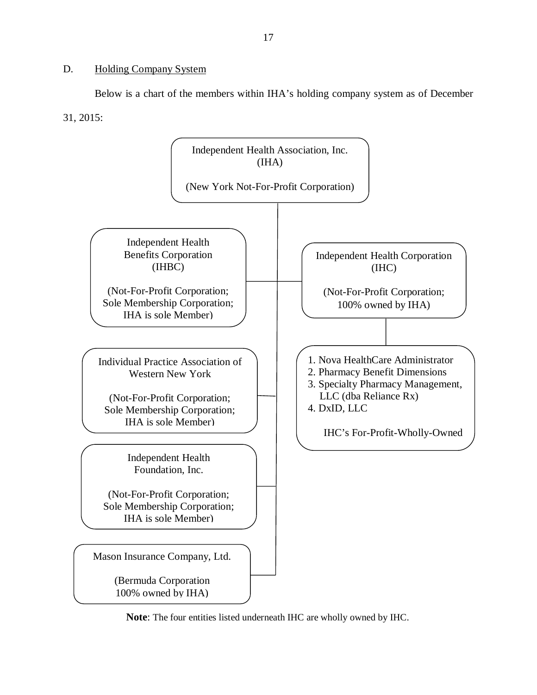#### <span id="page-18-0"></span>D. Holding Company System

 Below is a chart of the members within IHA's holding company system as of December 31, 2015:



**Note**: The four entities listed underneath IHC are wholly owned by IHC.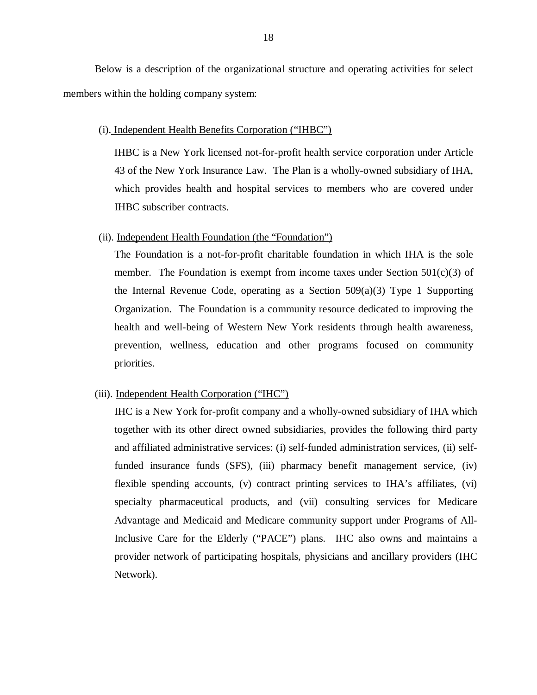Below is a description of the organizational structure and operating activities for select members within the holding company system:

#### (i). Independent Health Benefits Corporation ("IHBC")

 IHBC is a New York licensed not-for-profit health service corporation under Article 43 of the New York Insurance Law. The Plan is a wholly-owned subsidiary of IHA, which provides health and hospital services to members who are covered under IHBC subscriber contracts.

#### (ii). Independent Health Foundation (the "Foundation")

 The Foundation is a not-for-profit charitable foundation in which IHA is the sole member. The Foundation is exempt from income taxes under Section 501(c)(3) of the Internal Revenue Code, operating as a Section 509(a)(3) Type 1 Supporting Organization. The Foundation is a community resource dedicated to improving the health and well-being of Western New York residents through health awareness, prevention, wellness, education and other programs focused on community priorities.

#### (iii). Independent Health Corporation ("IHC")

 IHC is a New York for-profit company and a wholly-owned subsidiary of IHA which together with its other direct owned subsidiaries, provides the following third party and affiliated administrative services: (i) self-funded administration services, (ii) self- funded insurance funds (SFS), (iii) pharmacy benefit management service, (iv) flexible spending accounts, (v) contract printing services to IHA's affiliates, (vi) specialty pharmaceutical products, and (vii) consulting services for Medicare Advantage and Medicaid and Medicare community support under Programs of All- Inclusive Care for the Elderly ("PACE") plans. IHC also owns and maintains a provider network of participating hospitals, physicians and ancillary providers (IHC Network).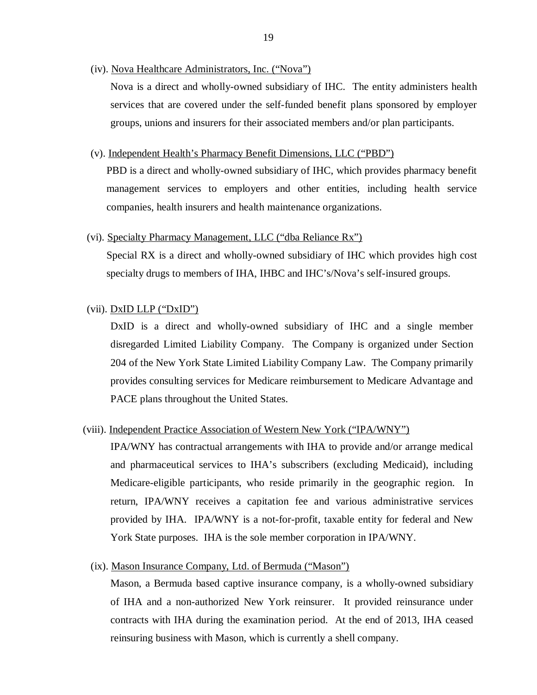(iv). Nova Healthcare Administrators, Inc. ("Nova")

 Nova is a direct and wholly-owned subsidiary of IHC. The entity administers health services that are covered under the self-funded benefit plans sponsored by employer groups, unions and insurers for their associated members and/or plan participants.

(v). Independent Health's Pharmacy Benefit Dimensions, LLC ("PBD")

 PBD is a direct and wholly-owned subsidiary of IHC, which provides pharmacy benefit management services to employers and other entities, including health service companies, health insurers and health maintenance organizations.

(vi). Specialty Pharmacy Management, LLC ("dba Reliance Rx")

 Special RX is a direct and wholly-owned subsidiary of IHC which provides high cost specialty drugs to members of IHA, IHBC and IHC's/Nova's self-insured groups.

(vii). DxID LLP ("DxID")

 DxID is a direct and wholly-owned subsidiary of IHC and a single member disregarded Limited Liability Company. The Company is organized under Section 204 of the New York State Limited Liability Company Law. The Company primarily provides consulting services for Medicare reimbursement to Medicare Advantage and PACE plans throughout the United States.

#### (viii). Independent Practice Association of Western New York ("IPA/WNY")

 IPA/WNY has contractual arrangements with IHA to provide and/or arrange medical and pharmaceutical services to IHA's subscribers (excluding Medicaid), including Medicare-eligible participants, who reside primarily in the geographic region. In return, IPA/WNY receives a capitation fee and various administrative services provided by IHA. IPA/WNY is a not-for-profit, taxable entity for federal and New York State purposes. IHA is the sole member corporation in IPA/WNY.

(ix). Mason Insurance Company, Ltd. of Bermuda ("Mason")

 Mason, a Bermuda based captive insurance company, is a wholly-owned subsidiary of IHA and a non-authorized New York reinsurer. It provided reinsurance under contracts with IHA during the examination period. At the end of 2013, IHA ceased reinsuring business with Mason, which is currently a shell company.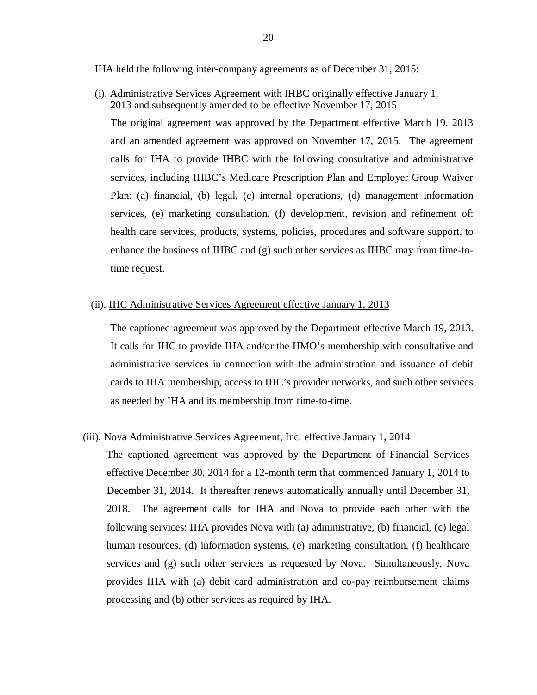IHA held the following inter-company agreements as of December 31, 2015:

 (i). Administrative Services Agreement with IHBC originally effective January 1, 2013 and subsequently amended to be effective November 17, 2015

 The original agreement was approved by the Department effective March 19, 2013 and an amended agreement was approved on November 17, 2015. The agreement calls for IHA to provide IHBC with the following consultative and administrative services, including IHBC's Medicare Prescription Plan and Employer Group Waiver Plan: (a) financial, (b) legal, (c) internal operations, (d) management information services, (e) marketing consultation, (f) development, revision and refinement of: health care services, products, systems, policies, procedures and software support, to enhance the business of IHBC and (g) such other services as IHBC may from time-to-time request.

#### (ii). **IHC Administrative Services Agreement effective January 1, 2013**

 The captioned agreement was approved by the Department effective March 19, 2013. It calls for IHC to provide IHA and/or the HMO's membership with consultative and administrative services in connection with the administration and issuance of debit cards to IHA membership, access to IHC's provider networks, and such other services as needed by IHA and its membership from time-to-time.

#### (iii). Nova Administrative Services Agreement, Inc. effective January 1, 2014

 The captioned agreement was approved by the Department of Financial Services effective December 30, 2014 for a 12-month term that commenced January 1, 2014 to December 31, 2014. It thereafter renews automatically annually until December 31, 2018. The agreement calls for IHA and Nova to provide each other with the following services: IHA provides Nova with (a) administrative, (b) financial, (c) legal human resources, (d) information systems, (e) marketing consultation, (f) healthcare services and (g) such other services as requested by Nova. Simultaneously, Nova provides IHA with (a) debit card administration and co-pay reimbursement claims processing and (b) other services as required by IHA.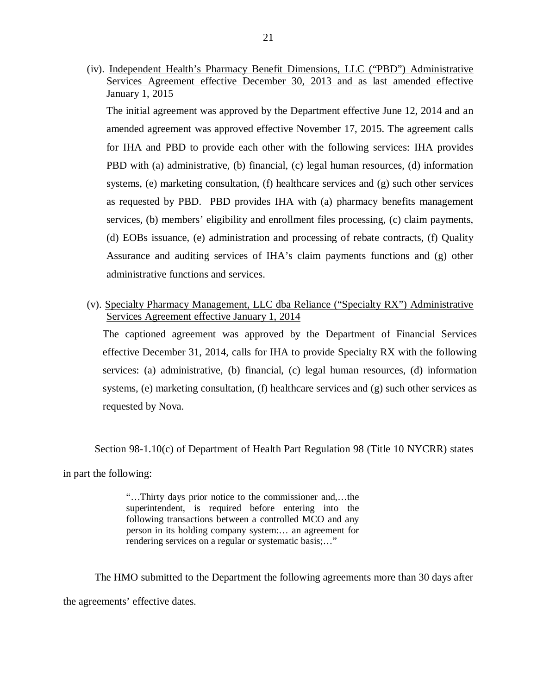(iv). Independent Health's Pharmacy Benefit Dimensions, LLC ("PBD") Administrative Services Agreement effective December 30, 2013 and as last amended effective January 1, 2015

 The initial agreement was approved by the Department effective June 12, 2014 and an amended agreement was approved effective November 17, 2015. The agreement calls for IHA and PBD to provide each other with the following services: IHA provides PBD with (a) administrative, (b) financial, (c) legal human resources, (d) information systems, (e) marketing consultation, (f) healthcare services and (g) such other services as requested by PBD. PBD provides IHA with (a) pharmacy benefits management services, (b) members' eligibility and enrollment files processing, (c) claim payments, (d) EOBs issuance, (e) administration and processing of rebate contracts, (f) Quality Assurance and auditing services of IHA's claim payments functions and (g) other administrative functions and services.

 (v). Specialty Pharmacy Management, LLC dba Reliance ("Specialty RX") Administrative Services Agreement effective January 1, 2014

 The captioned agreement was approved by the Department of Financial Services effective December 31, 2014, calls for IHA to provide Specialty RX with the following services: (a) administrative, (b) financial, (c) legal human resources, (d) information systems, (e) marketing consultation, (f) healthcare services and (g) such other services as requested by Nova.

Section 98-1.10(c) of Department of Health Part Regulation 98 (Title 10 NYCRR) states

in part the following:

 "…Thirty days prior notice to the commissioner and,…the superintendent, is required before entering into the following transactions between a controlled MCO and any person in its holding company system:… an agreement for rendering services on a regular or systematic basis;…"

 the agreements' effective dates. The HMO submitted to the Department the following agreements more than 30 days after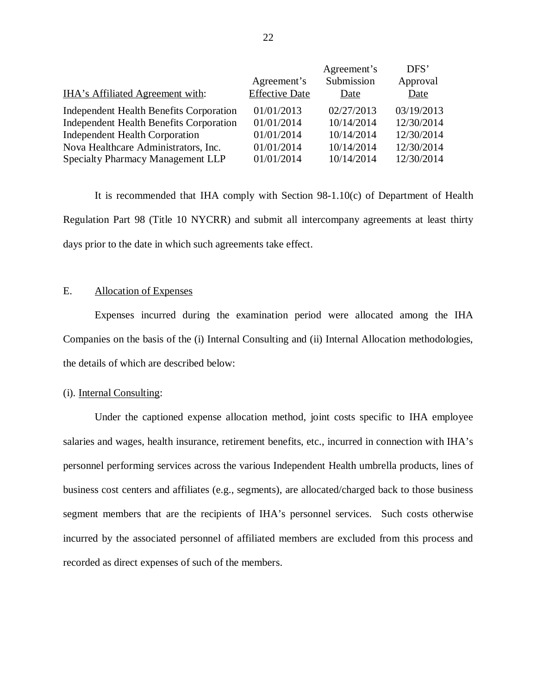|                                                |                       | Agreement's | DFS'       |
|------------------------------------------------|-----------------------|-------------|------------|
|                                                | Agreement's           | Submission  | Approval   |
| IHA's Affiliated Agreement with:               | <b>Effective Date</b> | Date        | Date       |
| Independent Health Benefits Corporation        | 01/01/2013            | 02/27/2013  | 03/19/2013 |
| <b>Independent Health Benefits Corporation</b> | 01/01/2014            | 10/14/2014  | 12/30/2014 |
| <b>Independent Health Corporation</b>          | 01/01/2014            | 10/14/2014  | 12/30/2014 |
| Nova Healthcare Administrators, Inc.           | 01/01/2014            | 10/14/2014  | 12/30/2014 |
| Specialty Pharmacy Management LLP              | 01/01/2014            | 10/14/2014  | 12/30/2014 |

 Regulation Part 98 (Title 10 NYCRR) and submit all intercompany agreements at least thirty days prior to the date in which such agreements take effect. It is recommended that IHA comply with Section 98-1.10(c) of Department of Health

#### E. Allocation of Expenses

 Companies on the basis of the (i) Internal Consulting and (ii) Internal Allocation methodologies, the details of which are described below: Expenses incurred during the examination period were allocated among the IHA

#### (i). Internal Consulting:

 Under the captioned expense allocation method, joint costs specific to IHA employee salaries and wages, health insurance, retirement benefits, etc., incurred in connection with IHA's personnel performing services across the various Independent Health umbrella products, lines of business cost centers and affiliates (e.g., segments), are allocated/charged back to those business segment members that are the recipients of IHA's personnel services. Such costs otherwise incurred by the associated personnel of affiliated members are excluded from this process and recorded as direct expenses of such of the members.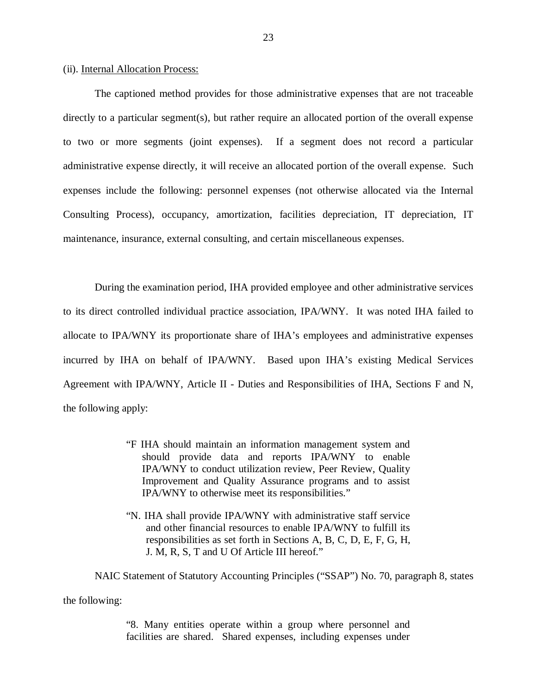#### (ii). Internal Allocation Process:

 directly to a particular segment(s), but rather require an allocated portion of the overall expense to two or more segments (joint expenses). If a segment does not record a particular administrative expense directly, it will receive an allocated portion of the overall expense. Such expenses include the following: personnel expenses (not otherwise allocated via the Internal Consulting Process), occupancy, amortization, facilities depreciation, IT depreciation, IT maintenance, insurance, external consulting, and certain miscellaneous expenses. The captioned method provides for those administrative expenses that are not traceable

 During the examination period, IHA provided employee and other administrative services to its direct controlled individual practice association, IPA/WNY. It was noted IHA failed to allocate to IPA/WNY its proportionate share of IHA's employees and administrative expenses incurred by IHA on behalf of IPA/WNY. Based upon IHA's existing Medical Services Agreement with IPA/WNY, Article II - Duties and Responsibilities of IHA, Sections F and N, the following apply:

- "F IHA should maintain an information management system and should provide data and reports IPA/WNY to enable IPA/WNY to conduct utilization review, Peer Review, Quality Improvement and Quality Assurance programs and to assist IPA/WNY to otherwise meet its responsibilities."
- "N. IHA shall provide IPA/WNY with administrative staff service and other financial resources to enable IPA/WNY to fulfill its responsibilities as set forth in Sections A, B, C, D, E, F, G, H, J. M, R, S, T and U Of Article III hereof."

 NAIC Statement of Statutory Accounting Principles ("SSAP") No. 70, paragraph 8, states the following:

> "8. Many entities operate within a group where personnel and facilities are shared. Shared expenses, including expenses under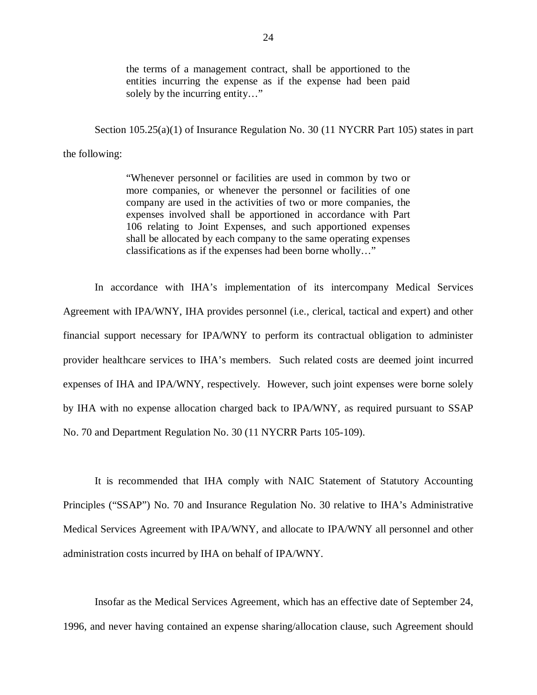the terms of a management contract, shall be apportioned to the entities incurring the expense as if the expense had been paid solely by the incurring entity…"

 Section 105.25(a)(1) of Insurance Regulation No. 30 (11 NYCRR Part 105) states in part the following:

> "Whenever personnel or facilities are used in common by two or more companies, or whenever the personnel or facilities of one company are used in the activities of two or more companies, the expenses involved shall be apportioned in accordance with Part 106 relating to Joint Expenses, and such apportioned expenses shall be allocated by each company to the same operating expenses classifications as if the expenses had been borne wholly…"

 Agreement with IPA/WNY, IHA provides personnel (i.e., clerical, tactical and expert) and other financial support necessary for IPA/WNY to perform its contractual obligation to administer provider healthcare services to IHA's members. Such related costs are deemed joint incurred expenses of IHA and IPA/WNY, respectively. However, such joint expenses were borne solely by IHA with no expense allocation charged back to IPA/WNY, as required pursuant to SSAP No. 70 and Department Regulation No. 30 (11 NYCRR Parts 105-109). In accordance with IHA's implementation of its intercompany Medical Services

 Principles ("SSAP") No. 70 and Insurance Regulation No. 30 relative to IHA's Administrative Medical Services Agreement with IPA/WNY, and allocate to IPA/WNY all personnel and other administration costs incurred by IHA on behalf of IPA/WNY. It is recommended that IHA comply with NAIC Statement of Statutory Accounting

 Insofar as the Medical Services Agreement, which has an effective date of September 24, 1996, and never having contained an expense sharing/allocation clause, such Agreement should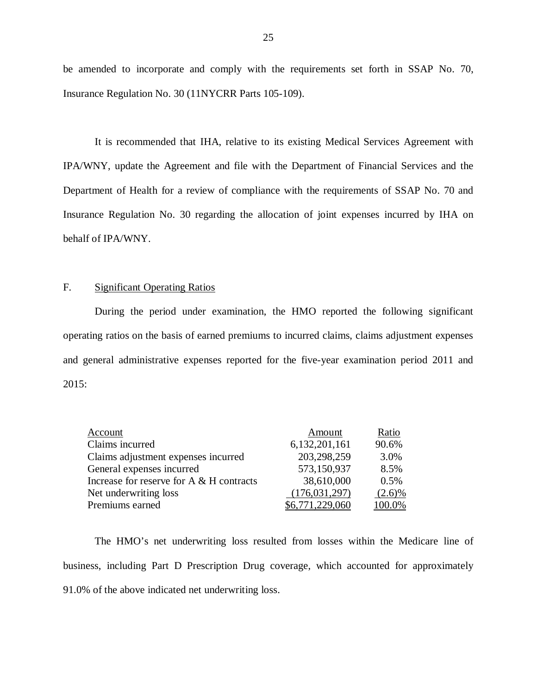be amended to incorporate and comply with the requirements set forth in SSAP No. 70, Insurance Regulation No. 30 (11NYCRR Parts 105-109).

 IPA/WNY, update the Agreement and file with the Department of Financial Services and the Department of Health for a review of compliance with the requirements of SSAP No. 70 and Insurance Regulation No. 30 regarding the allocation of joint expenses incurred by IHA on behalf of IPA/WNY. It is recommended that IHA, relative to its existing Medical Services Agreement with

#### F. Significant Operating Ratios

 During the period under examination, the HMO reported the following significant operating ratios on the basis of earned premiums to incurred claims, claims adjustment expenses and general administrative expenses reported for the five-year examination period 2011 and 2015:

| Account                                  | Amount          | Ratio     |
|------------------------------------------|-----------------|-----------|
| Claims incurred                          | 6,132,201,161   | 90.6%     |
| Claims adjustment expenses incurred      | 203,298,259     | 3.0%      |
| General expenses incurred                | 573,150,937     | 8.5%      |
| Increase for reserve for A & H contracts | 38,610,000      | 0.5%      |
| Net underwriting loss                    | (176, 031, 297) | $(2.6)\%$ |
| Premiums earned                          | 6,771,229,060   | 100.0%    |

 business, including Part D Prescription Drug coverage, which accounted for approximately 91.0% of the above indicated net underwriting loss. The HMO's net underwriting loss resulted from losses within the Medicare line of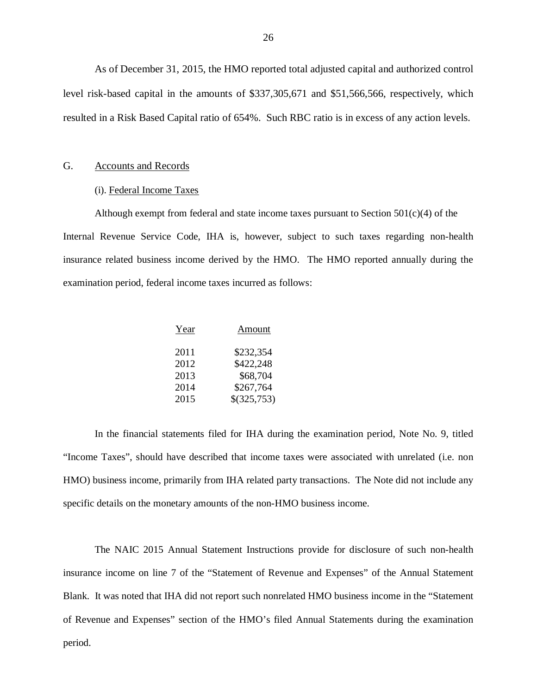<span id="page-27-0"></span> As of December 31, 2015, the HMO reported total adjusted capital and authorized control level risk-based capital in the amounts of \$337,305,671 and \$51,566,566, respectively, which resulted in a Risk Based Capital ratio of 654%. Such RBC ratio is in excess of any action levels.

#### G. Accounts and Records

#### (i). Federal Income Taxes

 Although exempt from federal and state income taxes pursuant to Section 501(c)(4) of the Internal Revenue Service Code, IHA is, however, subject to such taxes regarding non-health insurance related business income derived by the HMO. The HMO reported annually during the examination period, federal income taxes incurred as follows:

| Year | Amount        |
|------|---------------|
| 2011 | \$232,354     |
| 2012 | \$422,248     |
| 2013 | \$68,704      |
| 2014 | \$267,764     |
| 2015 | $$$ (325,753) |

 "Income Taxes", should have described that income taxes were associated with unrelated (i.e. non HMO) business income, primarily from IHA related party transactions. The Note did not include any specific details on the monetary amounts of the non-HMO business income. In the financial statements filed for IHA during the examination period, Note No. 9, titled

 insurance income on line 7 of the "Statement of Revenue and Expenses" of the Annual Statement Blank. It was noted that IHA did not report such nonrelated HMO business income in the "Statement of Revenue and Expenses" section of the HMO's filed Annual Statements during the examination The NAIC 2015 Annual Statement Instructions provide for disclosure of such non-health period.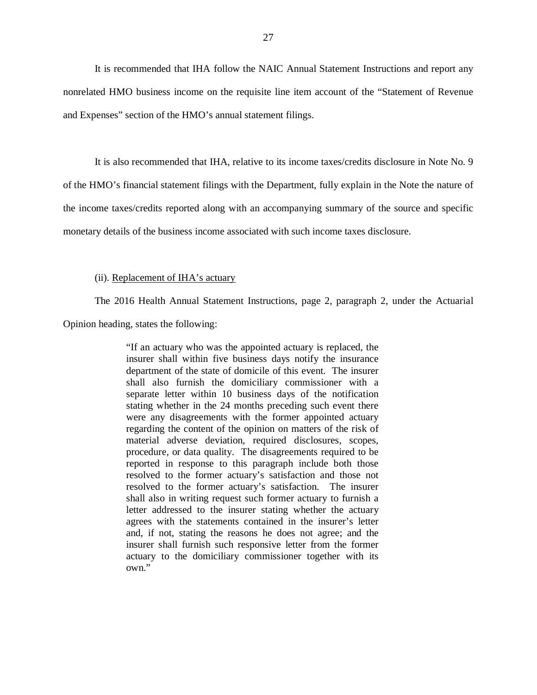nonrelated HMO business income on the requisite line item account of the "Statement of Revenue and Expenses" section of the HMO's annual statement filings. It is recommended that IHA follow the NAIC Annual Statement Instructions and report any

 of the HMO's financial statement filings with the Department, fully explain in the Note the nature of the income taxes/credits reported along with an accompanying summary of the source and specific monetary details of the business income associated with such income taxes disclosure. It is also recommended that IHA, relative to its income taxes/credits disclosure in Note No. 9

#### (ii). Replacement of IHA's actuary

The 2016 Health Annual Statement Instructions, page 2, paragraph 2, under the Actuarial

Opinion heading, states the following:

 "If an actuary who was the appointed actuary is replaced, the insurer shall within five business days notify the insurance department of the state of domicile of this event. The insurer shall also furnish the domiciliary commissioner with a separate letter within 10 business days of the notification stating whether in the 24 months preceding such event there were any disagreements with the former appointed actuary regarding the content of the opinion on matters of the risk of material adverse deviation, required disclosures, scopes, procedure, or data quality. The disagreements required to be reported in response to this paragraph include both those resolved to the former actuary's satisfaction and those not resolved to the former actuary's satisfaction. The insurer shall also in writing request such former actuary to furnish a letter addressed to the insurer stating whether the actuary agrees with the statements contained in the insurer's letter and, if not, stating the reasons he does not agree; and the insurer shall furnish such responsive letter from the former actuary to the domiciliary commissioner together with its own."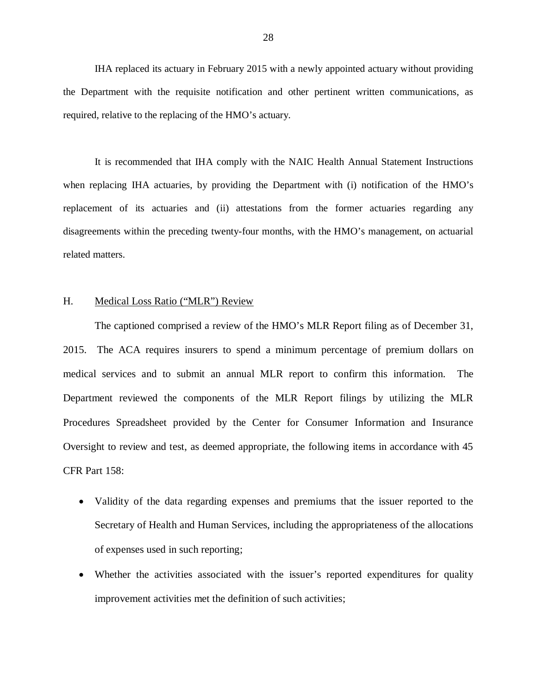<span id="page-29-0"></span> the Department with the requisite notification and other pertinent written communications, as required, relative to the replacing of the HMO's actuary. IHA replaced its actuary in February 2015 with a newly appointed actuary without providing

 when replacing IHA actuaries, by providing the Department with (i) notification of the HMO's replacement of its actuaries and (ii) attestations from the former actuaries regarding any disagreements within the preceding twenty-four months, with the HMO's management, on actuarial It is recommended that IHA comply with the NAIC Health Annual Statement Instructions related matters.

#### H. Medical Loss Ratio ("MLR") Review

 2015. The ACA requires insurers to spend a minimum percentage of premium dollars on medical services and to submit an annual MLR report to confirm this information. The Department reviewed the components of the MLR Report filings by utilizing the MLR Procedures Spreadsheet provided by the Center for Consumer Information and Insurance Oversight to review and test, as deemed appropriate, the following items in accordance with 45 CFR Part 158: The captioned comprised a review of the HMO's MLR Report filing as of December 31,

- Validity of the data regarding expenses and premiums that the issuer reported to the Secretary of Health and Human Services, including the appropriateness of the allocations of expenses used in such reporting;
- Whether the activities associated with the issuer's reported expenditures for quality improvement activities met the definition of such activities;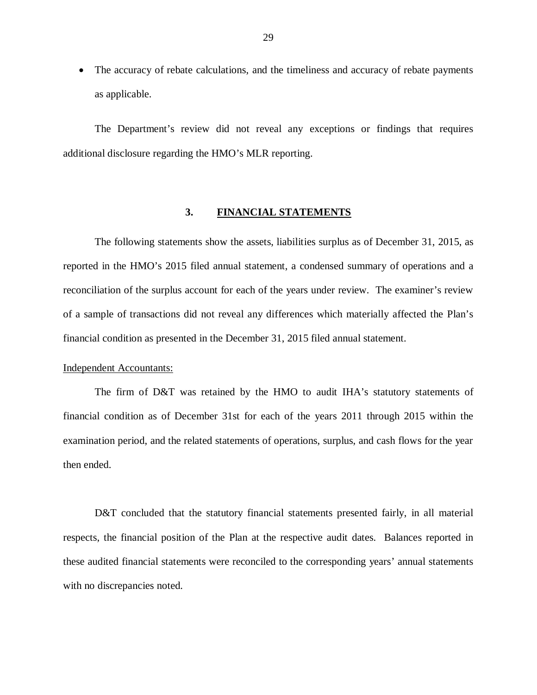<span id="page-30-0"></span>• The accuracy of rebate calculations, and the timeliness and accuracy of rebate payments as applicable.

 The Department's review did not reveal any exceptions or findings that requires additional disclosure regarding the HMO's MLR reporting.

#### $3.$ **3. FINANCIAL STATEMENTS**

 reported in the HMO's 2015 filed annual statement, a condensed summary of operations and a reconciliation of the surplus account for each of the years under review. The examiner's review of a sample of transactions did not reveal any differences which materially affected the Plan's financial condition as presented in the December 31, 2015 filed annual statement. The following statements show the assets, liabilities surplus as of December 31, 2015, as

#### Independent Accountants:

 financial condition as of December 31st for each of the years 2011 through 2015 within the examination period, and the related statements of operations, surplus, and cash flows for the year then ended. The firm of D&T was retained by the HMO to audit IHA's statutory statements of

D&T concluded that the statutory financial statements presented fairly, in all material respects, the financial position of the Plan at the respective audit dates. Balances reported in these audited financial statements were reconciled to the corresponding years' annual statements with no discrepancies noted.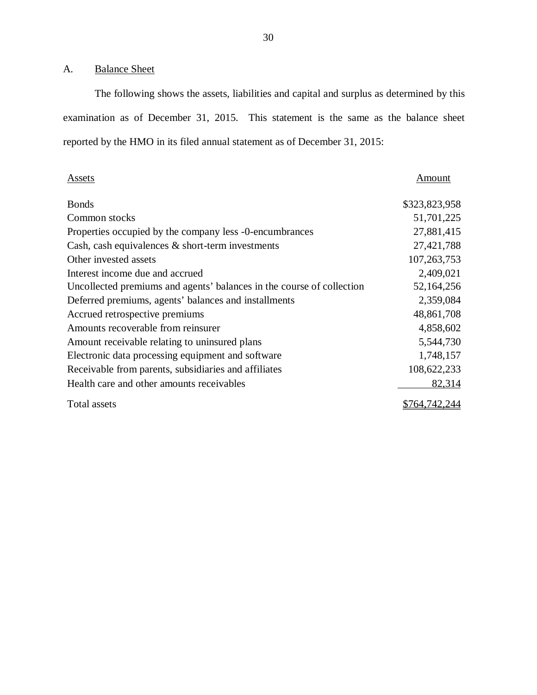#### A. Balance Sheet

 examination as of December 31, 2015. This statement is the same as the balance sheet reported by the HMO in its filed annual statement as of December 31, 2015: The following shows the assets, liabilities and capital and surplus as determined by this

| <b>Assets</b>                                                         | Amount        |
|-----------------------------------------------------------------------|---------------|
| <b>Bonds</b>                                                          | \$323,823,958 |
| Common stocks                                                         | 51,701,225    |
| Properties occupied by the company less -0-encumbrances               | 27,881,415    |
| Cash, cash equivalences $\&$ short-term investments                   | 27,421,788    |
| Other invested assets                                                 | 107,263,753   |
| Interest income due and accrued                                       | 2,409,021     |
| Uncollected premiums and agents' balances in the course of collection | 52,164,256    |
| Deferred premiums, agents' balances and installments                  | 2,359,084     |
| Accrued retrospective premiums                                        | 48,861,708    |
| Amounts recoverable from reinsurer                                    | 4,858,602     |
| Amount receivable relating to uninsured plans                         | 5,544,730     |
| Electronic data processing equipment and software                     | 1,748,157     |
| Receivable from parents, subsidiaries and affiliates                  | 108,622,233   |
| Health care and other amounts receivables                             | 82,314        |
| Total assets                                                          | \$764,742,244 |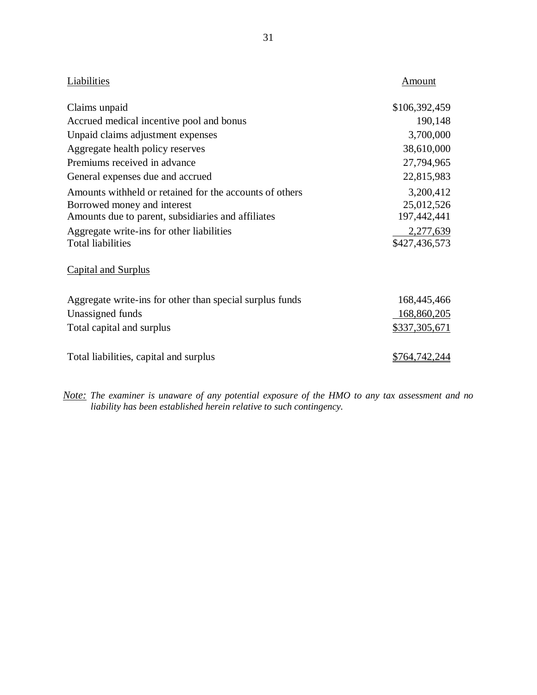| Liabilities                                              | Amount             |
|----------------------------------------------------------|--------------------|
| Claims unpaid                                            | \$106,392,459      |
| Accrued medical incentive pool and bonus                 | 190,148            |
| Unpaid claims adjustment expenses                        | 3,700,000          |
| Aggregate health policy reserves                         | 38,610,000         |
| Premiums received in advance                             | 27,794,965         |
| General expenses due and accrued                         | 22,815,983         |
| Amounts withheld or retained for the accounts of others  | 3,200,412          |
| Borrowed money and interest                              | 25,012,526         |
| Amounts due to parent, subsidiaries and affiliates       | 197,442,441        |
| Aggregate write-ins for other liabilities                | 2,277,639          |
| <b>Total liabilities</b>                                 | \$427,436,573      |
| <b>Capital and Surplus</b>                               |                    |
| Aggregate write-ins for other than special surplus funds | 168,445,466        |
| Unassigned funds                                         | 168,860,205        |
| Total capital and surplus                                | \$337,305,671      |
| Total liabilities, capital and surplus                   | <u>\$764,742,2</u> |

 *Note: The examiner is unaware of any potential exposure of the HMO to any tax assessment and no liability has been established herein relative to such contingency.*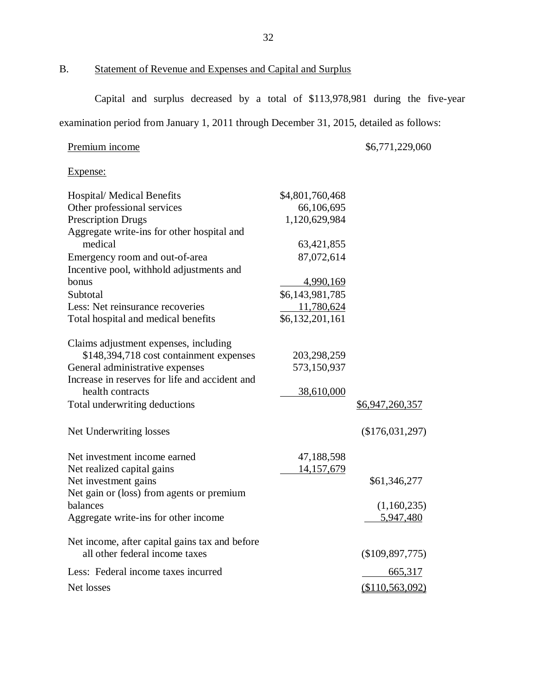## B. Statement of Revenue and Expenses and Capital and Surplus

Capital and surplus decreased by a total of \$113,978,981 during the five-year

examination period from January 1, 2011 through December 31, 2015, detailed as follows:

#### Premium income \$6,771,229,060

Expense:

| <b>Hospital/ Medical Benefits</b>              | \$4,801,760,468   |                 |
|------------------------------------------------|-------------------|-----------------|
| Other professional services                    | 66,106,695        |                 |
| <b>Prescription Drugs</b>                      | 1,120,629,984     |                 |
| Aggregate write-ins for other hospital and     |                   |                 |
| medical                                        | 63,421,855        |                 |
| Emergency room and out-of-area                 | 87,072,614        |                 |
| Incentive pool, withhold adjustments and       |                   |                 |
| bonus                                          | 4,990,169         |                 |
| Subtotal                                       | \$6,143,981,785   |                 |
| Less: Net reinsurance recoveries               | 11,780,624        |                 |
| Total hospital and medical benefits            | \$6,132,201,161   |                 |
| Claims adjustment expenses, including          |                   |                 |
| \$148,394,718 cost containment expenses        | 203,298,259       |                 |
| General administrative expenses                | 573,150,937       |                 |
| Increase in reserves for life and accident and |                   |                 |
| health contracts                               | 38,610,000        |                 |
| Total underwriting deductions                  |                   | \$6,947,260,357 |
| Net Underwriting losses                        |                   | (\$176,031,297) |
| Net investment income earned                   | 47,188,598        |                 |
| Net realized capital gains                     | <u>14,157,679</u> |                 |
| Net investment gains                           |                   | \$61,346,277    |
| Net gain or (loss) from agents or premium      |                   |                 |
| balances                                       |                   | (1,160,235)     |
| Aggregate write-ins for other income           |                   | 5,947,480       |
| Net income, after capital gains tax and before |                   |                 |
| all other federal income taxes                 |                   | (\$109,897,775) |
| Less: Federal income taxes incurred            |                   | 665,317         |
| Net losses                                     |                   | (\$110,563,092) |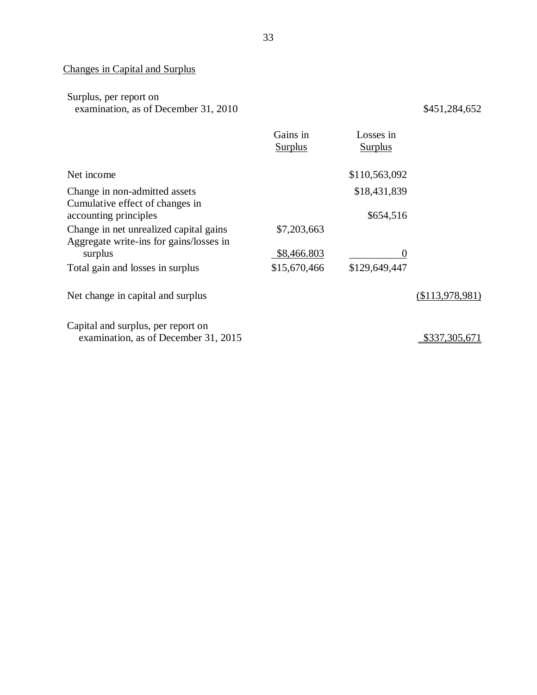#### Changes in Capital and Surplus

| Surplus, per report on               |
|--------------------------------------|
| examination, as of December 31, 2010 |

 $$451, 284, 652$ 

|                                                                                   | Gains in       | Losses in      |                 |
|-----------------------------------------------------------------------------------|----------------|----------------|-----------------|
|                                                                                   | <b>Surplus</b> | <b>Surplus</b> |                 |
| Net income                                                                        |                | \$110,563,092  |                 |
| Change in non-admitted assets<br>Cumulative effect of changes in                  |                | \$18,431,839   |                 |
| accounting principles                                                             |                | \$654,516      |                 |
| Change in net unrealized capital gains<br>Aggregate write-ins for gains/losses in | \$7,203,663    |                |                 |
| surplus                                                                           | \$8,466.803    |                |                 |
| Total gain and losses in surplus                                                  | \$15,670,466   | \$129,649,447  |                 |
| Net change in capital and surplus                                                 |                |                | (\$113,978,981) |
| Capital and surplus, per report on                                                |                |                |                 |
| examination, as of December 31, 2015                                              |                |                | \$337,305,671   |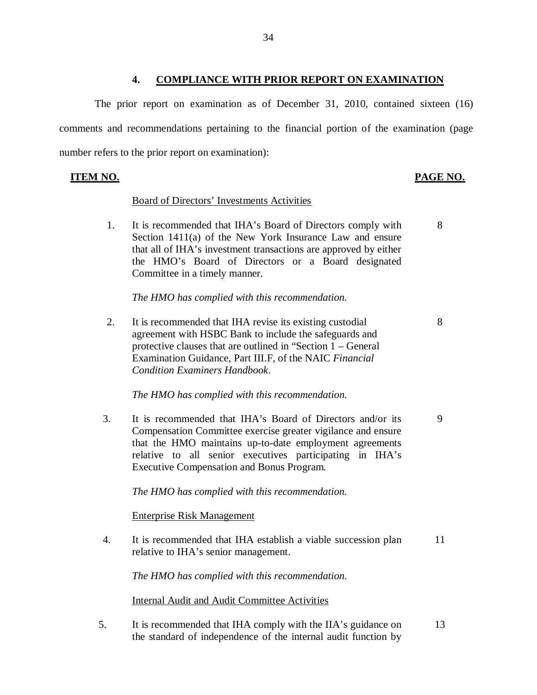## **4. COMPLIANCE WITH PRIOR REPORT ON EXAMINATION**

 comments and recommendations pertaining to the financial portion of the examination (page number refers to the prior report on examination): The prior report on examination as of December 31, 2010, contained sixteen (16)

## **ITEM NO.**

## **PAGE NO.**

## Board of Directors' Investments Activities

 $1_{-}$  Section 1411(a) of the New York Insurance Law and ensure that all of IHA's investment transactions are approved by either the HMO's Board of Directors or a Board designated Committee in a timely manner. It is recommended that IHA's Board of Directors comply with 8

 *The HMO has complied with this recommendation.* 

 $2.$  agreement with HSBC Bank to include the safeguards and protective clauses that are outlined in "Section 1 – General Examination Guidance, Part III.F, of the NAIC *Financial*  It is recommended that IHA revise its existing custodial *Condition Examiners Handbook*. 8

 *The HMO has complied with this recommendation.* 

3. Compensation Committee exercise greater vigilance and ensure that the HMO maintains up-to-date employment agreements relative to all senior executives participating in IHA's Executive Compensation and Bonus Program. It is recommended that IHA's Board of Directors and/or its 9

 *The HMO has complied with this recommendation.* 

Enterprise Risk Management

 $\overline{4}$ . relative to IHA's senior management. It is recommended that IHA establish a viable succession plan 11

 *The HMO has complied with this recommendation.* 

Internal Audit and Audit Committee Activities

 $5<sub>1</sub>$  the standard of independence of the internal audit function by It is recommended that IHA comply with the IIA's guidance on 13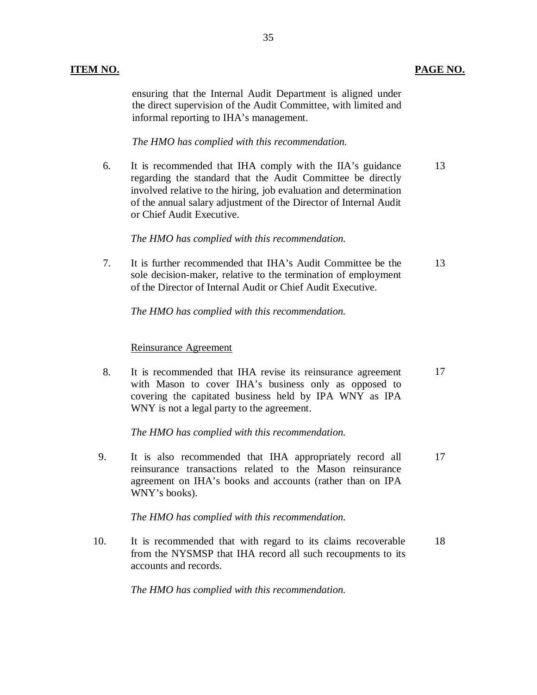ensuring that the Internal Audit Department is aligned under the direct supervision of the Audit Committee, with limited and informal reporting to IHA's management.

35

 *The HMO has complied with this recommendation.* 

6. regarding the standard that the Audit Committee be directly involved relative to the hiring, job evaluation and determination of the annual salary adjustment of the Director of Internal Audit or Chief Audit Executive. It is recommended that IHA comply with the IIA's guidance 13

 *The HMO has complied with this recommendation.* 

 $7<sub>1</sub>$  sole decision-maker, relative to the termination of employment of the Director of Internal Audit or Chief Audit Executive. It is further recommended that IHA's Audit Committee be the 13

 *The HMO has complied with this recommendation.* 

## Reinsurance Agreement

8. with Mason to cover IHA's business only as opposed to covering the capitated business held by IPA WNY as IPA WNY is not a legal party to the agreement. It is recommended that IHA revise its reinsurance agreement 17

 *The HMO has complied with this recommendation.* 

9. reinsurance transactions related to the Mason reinsurance agreement on IHA's books and accounts (rather than on IPA WNY's books). It is also recommended that IHA appropriately record all 17

 *The HMO has complied with this recommendation.* 

10. from the NYSMSP that IHA record all such recoupments to its accounts and records. It is recommended that with regard to its claims recoverable 18

 *The HMO has complied with this recommendation.*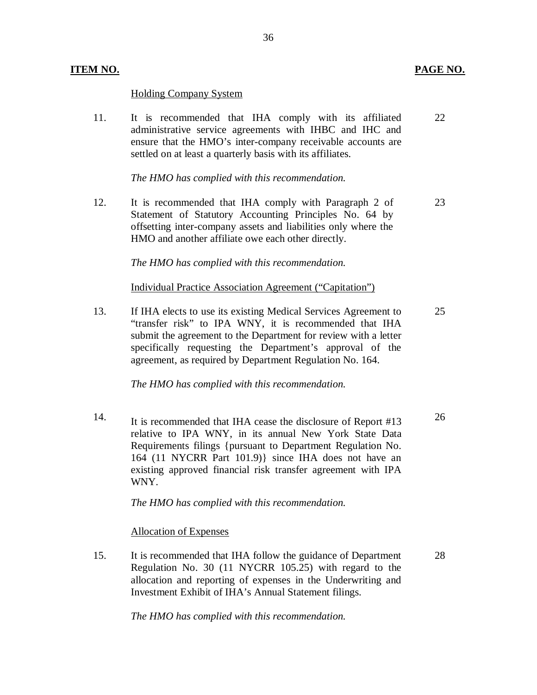### **ITEM NO.**

## Holding Company System

 $11.$  administrative service agreements with IHBC and IHC and ensure that the HMO's inter-company receivable accounts are settled on at least a quarterly basis with its affiliates. It is recommended that IHA comply with its affiliated 22

 *The HMO has complied with this recommendation.* 

12. Statement of Statutory Accounting Principles No. 64 by offsetting inter-company assets and liabilities only where the HMO and another affiliate owe each other directly. It is recommended that IHA comply with Paragraph 2 of 23

 *The HMO has complied with this recommendation.* 

Individual Practice Association Agreement ("Capitation")

 $13<sub>1</sub>$  "transfer risk" to IPA WNY, it is recommended that IHA submit the agreement to the Department for review with a letter specifically requesting the Department's approval of the agreement, as required by Department Regulation No. 164. 13. If IHA elects to use its existing Medical Services Agreement to 25

 *The HMO has complied with this recommendation.* 

14. It is recommended that IHA cease the disclosure of Report #13 26 relative to IPA WNY, in its annual New York State Data Requirements filings {pursuant to Department Regulation No. 164 (11 NYCRR Part 101.9)} since IHA does not have an existing approved financial risk transfer agreement with IPA WNY.

 *The HMO has complied with this recommendation.* 

Allocation of Expenses

15. Regulation No. 30 (11 NYCRR 105.25) with regard to the allocation and reporting of expenses in the Underwriting and Investment Exhibit of IHA's Annual Statement filings. It is recommended that IHA follow the guidance of Department 28

 *The HMO has complied with this recommendation.*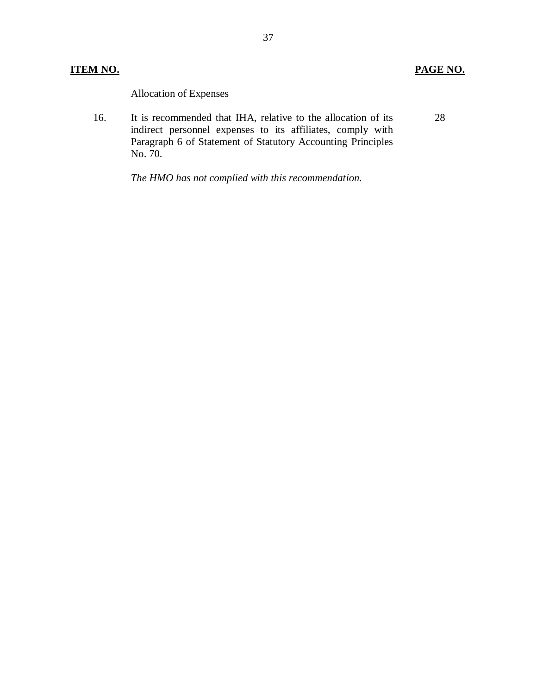28

## Allocation of Expenses

 16. indirect personnel expenses to its affiliates, comply with Paragraph 6 of Statement of Statutory Accounting Principles No. 70. It is recommended that IHA, relative to the allocation of its

 *The HMO has not complied with this recommendation.*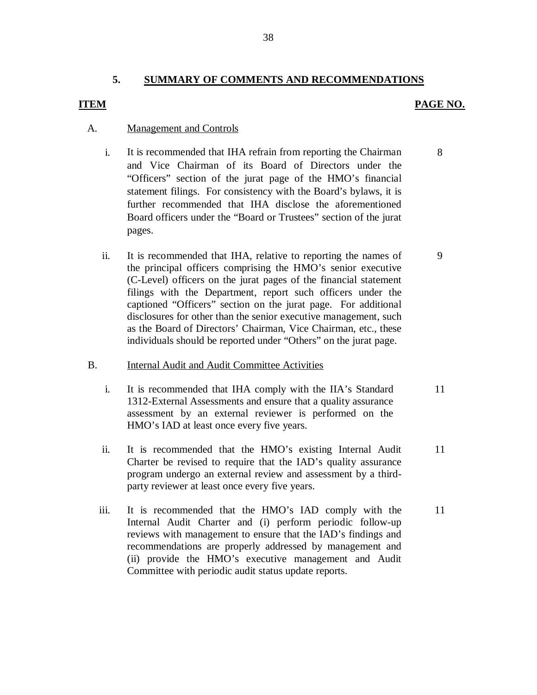## **5. SUMMARY OF COMMENTS AND RECOMMENDATIONS**

## *PAGE NO. PAGE NO.*

### A. Management and Controls

- i. It is recommended that IHA refrain from reporting the Chairman and Vice Chairman of its Board of Directors under the "Officers" section of the jurat page of the HMO's financial statement filings. For consistency with the Board's bylaws, it is further recommended that IHA disclose the aforementioned Board officers under the "Board or Trustees" section of the jurat pages.
- $ii.$  the principal officers comprising the HMO's senior executive (C-Level) officers on the jurat pages of the financial statement filings with the Department, report such officers under the captioned "Officers" section on the jurat page. For additional disclosures for other than the senior executive management, such as the Board of Directors' Chairman, Vice Chairman, etc., these individuals should be reported under "Others" on the jurat page. It is recommended that IHA, relative to reporting the names of

## B. **Internal Audit and Audit Committee Activities**

- $\mathbf{i}$ . 1312-External Assessments and ensure that a quality assurance assessment by an external reviewer is performed on the HMO's IAD at least once every five years. It is recommended that IHA comply with the IIA's Standard 11
- $ii.$  Charter be revised to require that the IAD's quality assurance program undergo an external review and assessment by a third- party reviewer at least once every five years. It is recommended that the HMO's existing Internal Audit 11
- $\mathbf{iii}$  Internal Audit Charter and (i) perform periodic follow-up reviews with management to ensure that the IAD's findings and recommendations are properly addressed by management and (ii) provide the HMO's executive management and Audit Committee with periodic audit status update reports. It is recommended that the HMO's IAD comply with the 11

8

9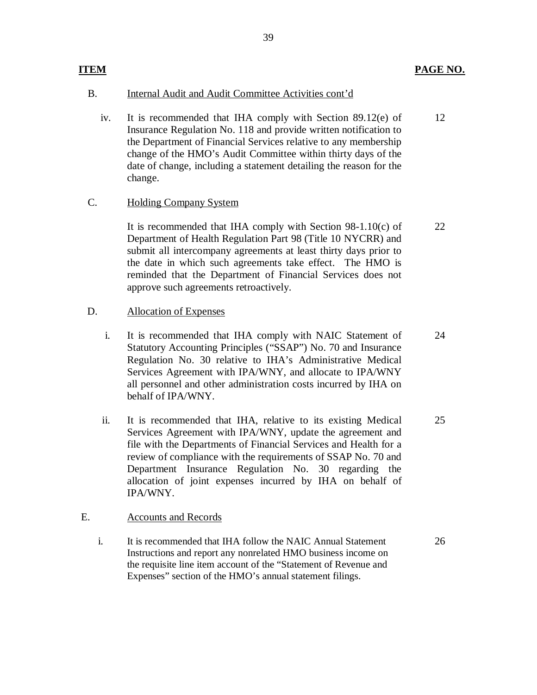Insurance Regulation No. 118 and provide written notification to the Department of Financial Services relative to any membership change of the HMO's Audit Committee within thirty days of the date of change, including a statement detailing the reason for the iv. It is recommended that IHA comply with Section 89.12(e) of change. 12

39

## C. Holding Company System

 Department of Health Regulation Part 98 (Title 10 NYCRR) and submit all intercompany agreements at least thirty days prior to the date in which such agreements take effect. The HMO is reminded that the Department of Financial Services does not approve such agreements retroactively. It is recommended that IHA comply with Section 98-1.10(c) of 22

## D. Allocation of Expenses

- $\mathbf{i}$ . Statutory Accounting Principles ("SSAP") No. 70 and Insurance Regulation No. 30 relative to IHA's Administrative Medical Services Agreement with IPA/WNY, and allocate to IPA/WNY all personnel and other administration costs incurred by IHA on behalf of IPA/WNY. It is recommended that IHA comply with NAIC Statement of
- $ii.$  Services Agreement with IPA/WNY, update the agreement and file with the Departments of Financial Services and Health for a review of compliance with the requirements of SSAP No. 70 and Department Insurance Regulation No. 30 regarding the allocation of joint expenses incurred by IHA on behalf of It is recommended that IHA, relative to its existing Medical IPA/WNY. 25

## E. Accounts and Records

 i. It is recommended that IHA follow the NAIC Annual Statement Instructions and report any nonrelated HMO business income on the requisite line item account of the "Statement of Revenue and Expenses" section of the HMO's annual statement filings.

26

24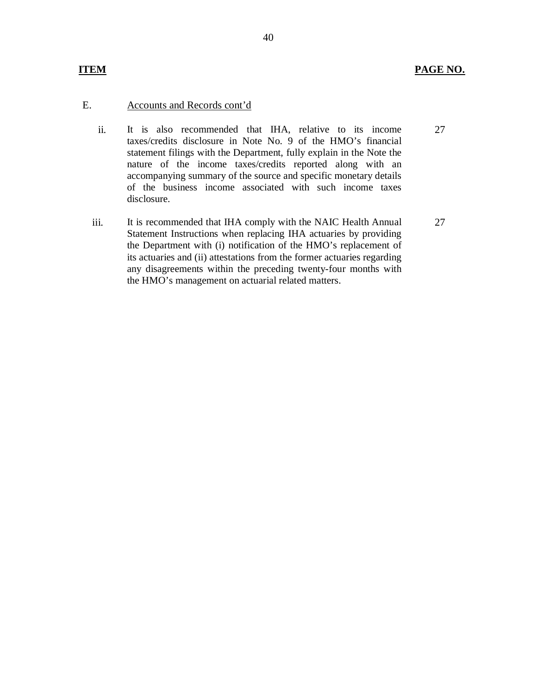#### E. Accounts and Records cont'd

- It is also recommended that IHA, relative to its income taxes/credits disclosure in Note No. 9 of the HMO's financial statement filings with the Department, fully explain in the Note the nature of the income taxes/credits reported along with an accompanying summary of the source and specific monetary details of the business income associated with such income taxes ii. disclosure.
- It is recommended that IHA comply with the NAIC Health Annual Statement Instructions when replacing IHA actuaries by providing the Department with (i) notification of the HMO's replacement of its actuaries and (ii) attestations from the former actuaries regarding any disagreements within the preceding twenty-four months with iii. the HMO's management on actuarial related matters.

27

27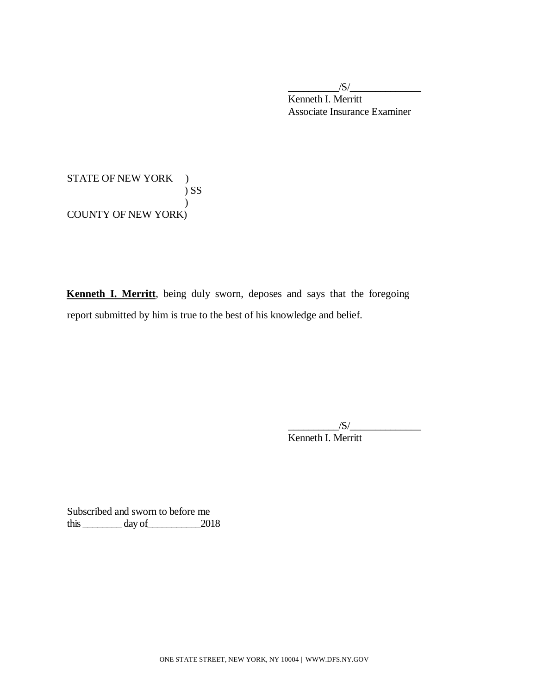Kenneth I. Merritt Associate Insurance Examiner  $/S/$ 

STATE OF NEW YORK ) COUNTY OF NEW YORK) ) SS  $\mathcal{L}$ 

**Kenneth I. Merritt**, being duly sworn, deposes and says that the foregoing report submitted by him is true to the best of his knowledge and belief.

> Kenneth I. Merritt  $/S/$

 Subscribed and sworn to before me this  $\_\_\_\_\_$  day of  $\_\_\_\_$  2018